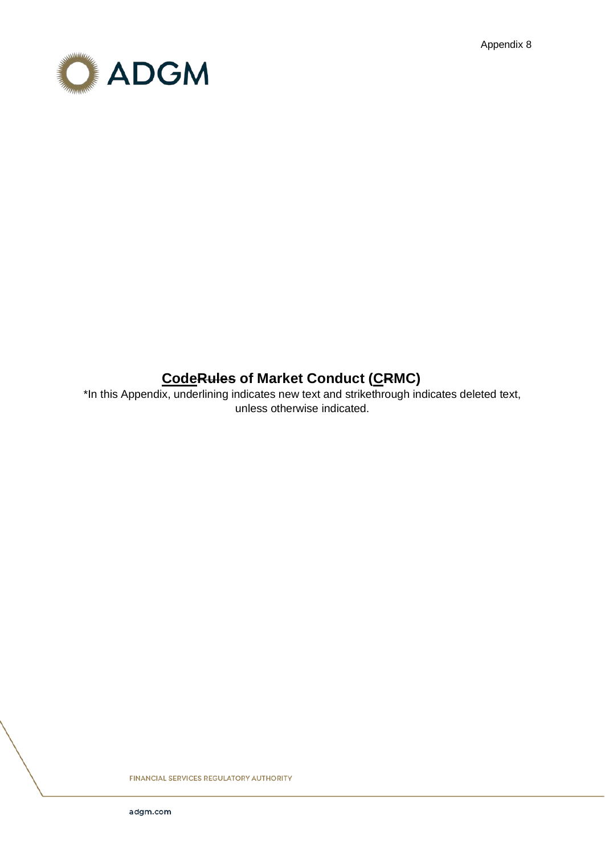Appendix 8



# **CodeRules of Market Conduct (CRMC)**

\*In this Appendix, underlining indicates new text and strikethrough indicates deleted text, unless otherwise indicated.

FINANCIAL SERVICES REGULATORY AUTHORITY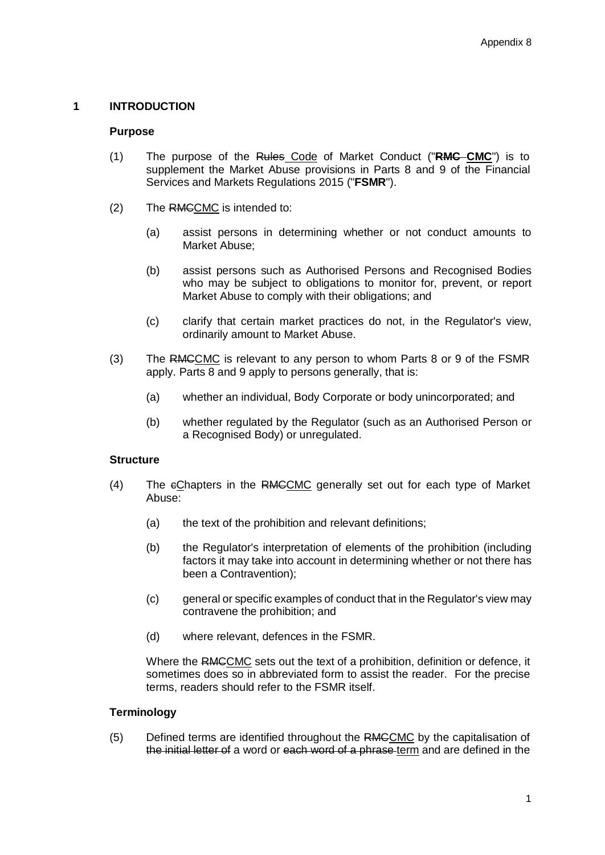# **1 INTRODUCTION**

### **Purpose**

- (1) The purpose of the Rules Code of Market Conduct ("**RMC CMC**") is to supplement the Market Abuse provisions in Parts 8 and 9 of the Financial Services and Markets Regulations 2015 ("**FSMR**").
- (2) The RMCCMC is intended to:
	- (a) assist persons in determining whether or not conduct amounts to Market Abuse;
	- (b) assist persons such as Authorised Persons and Recognised Bodies who may be subject to obligations to monitor for, prevent, or report Market Abuse to comply with their obligations; and
	- (c) clarify that certain market practices do not, in the Regulator's view, ordinarily amount to Market Abuse.
- (3) The RMCCMC is relevant to any person to whom Parts 8 or 9 of the FSMR apply. Parts 8 and 9 apply to persons generally, that is:
	- (a) whether an individual, Body Corporate or body unincorporated; and
	- (b) whether regulated by the Regulator (such as an Authorised Person or a Recognised Body) or unregulated.

### **Structure**

- (4) The cChapters in the RMCCMC generally set out for each type of Market Abuse:
	- (a) the text of the prohibition and relevant definitions;
	- (b) the Regulator's interpretation of elements of the prohibition (including factors it may take into account in determining whether or not there has been a Contravention);
	- (c) general or specific examples of conduct that in the Regulator's view may contravene the prohibition; and
	- (d) where relevant, defences in the FSMR.

Where the RMCCMC sets out the text of a prohibition, definition or defence, it sometimes does so in abbreviated form to assist the reader. For the precise terms, readers should refer to the FSMR itself.

# **Terminology**

(5) Defined terms are identified throughout the RMCCMC by the capitalisation of the initial letter of a word or each word of a phrase term and are defined in the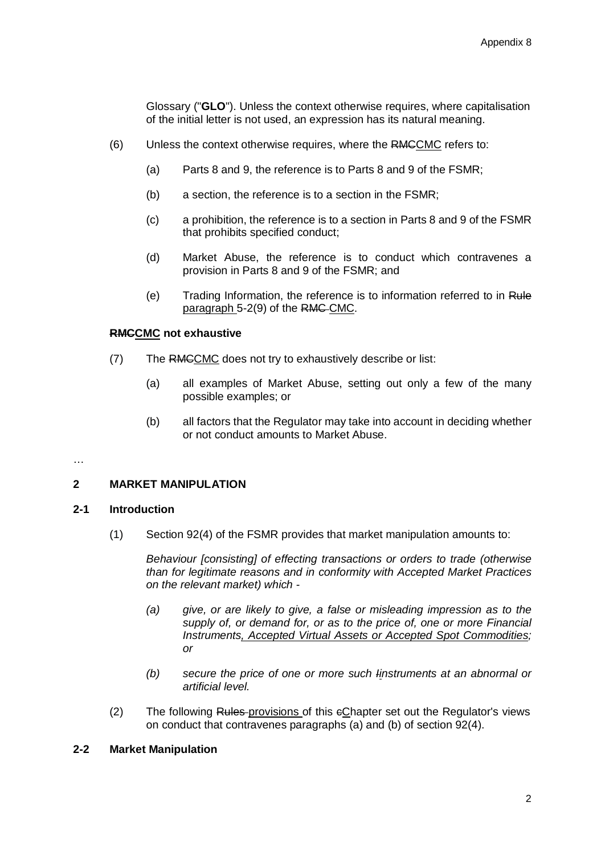Glossary ("**GLO**"). Unless the context otherwise requires, where capitalisation of the initial letter is not used, an expression has its natural meaning.

- (6) Unless the context otherwise requires, where the RMCCMC refers to:
	- (a) Parts 8 and 9, the reference is to Parts 8 and 9 of the FSMR;
	- (b) a section, the reference is to a section in the FSMR;
	- (c) a prohibition, the reference is to a section in Parts 8 and 9 of the FSMR that prohibits specified conduct;
	- (d) Market Abuse, the reference is to conduct which contravenes a provision in Parts 8 and 9 of the FSMR; and
	- (e) Trading Information, the reference is to information referred to in Rule paragraph 5-2(9) of the RMC CMC.

### **RMCCMC not exhaustive**

- (7) The RMCCMC does not try to exhaustively describe or list:
	- (a) all examples of Market Abuse, setting out only a few of the many possible examples; or
	- (b) all factors that the Regulator may take into account in deciding whether or not conduct amounts to Market Abuse.

#### …

### **2 MARKET MANIPULATION**

### **2-1 Introduction**

(1) Section 92(4) of the FSMR provides that market manipulation amounts to:

*Behaviour [consisting] of effecting transactions or orders to trade (otherwise than for legitimate reasons and in conformity with Accepted Market Practices on the relevant market) which -*

- *(a) give, or are likely to give, a false or misleading impression as to the supply of, or demand for, or as to the price of, one or more Financial Instruments, Accepted Virtual Assets or Accepted Spot Commodities; or*
- *(b) secure the price of one or more such Iinstruments at an abnormal or artificial level.*
- (2) The following Rules-provisions of this eChapter set out the Regulator's views on conduct that contravenes paragraphs (a) and (b) of section 92(4).

### **2-2 Market Manipulation**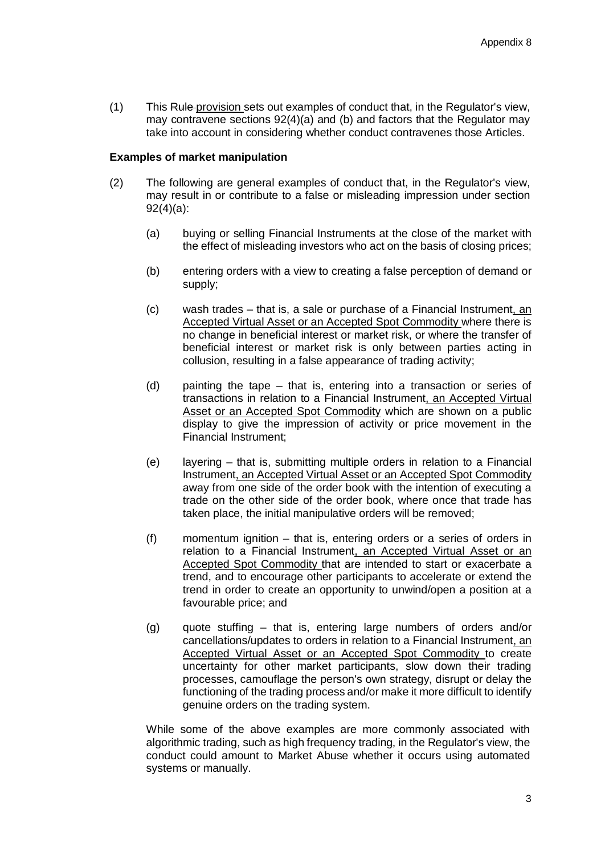(1) This Rule provision sets out examples of conduct that, in the Regulator's view, may contravene sections 92(4)(a) and (b) and factors that the Regulator may take into account in considering whether conduct contravenes those Articles.

### **Examples of market manipulation**

- (2) The following are general examples of conduct that, in the Regulator's view, may result in or contribute to a false or misleading impression under section 92(4)(a):
	- (a) buying or selling Financial Instruments at the close of the market with the effect of misleading investors who act on the basis of closing prices;
	- (b) entering orders with a view to creating a false perception of demand or supply;
	- (c) wash trades that is, a sale or purchase of a Financial Instrument, an Accepted Virtual Asset or an Accepted Spot Commodity where there is no change in beneficial interest or market risk, or where the transfer of beneficial interest or market risk is only between parties acting in collusion, resulting in a false appearance of trading activity;
	- (d) painting the tape that is, entering into a transaction or series of transactions in relation to a Financial Instrument, an Accepted Virtual Asset or an Accepted Spot Commodity which are shown on a public display to give the impression of activity or price movement in the Financial Instrument;
	- (e) layering that is, submitting multiple orders in relation to a Financial Instrument, an Accepted Virtual Asset or an Accepted Spot Commodity away from one side of the order book with the intention of executing a trade on the other side of the order book, where once that trade has taken place, the initial manipulative orders will be removed;
	- (f) momentum ignition that is, entering orders or a series of orders in relation to a Financial Instrument, an Accepted Virtual Asset or an Accepted Spot Commodity that are intended to start or exacerbate a trend, and to encourage other participants to accelerate or extend the trend in order to create an opportunity to unwind/open a position at a favourable price; and
	- (g) quote stuffing that is, entering large numbers of orders and/or cancellations/updates to orders in relation to a Financial Instrument, an Accepted Virtual Asset or an Accepted Spot Commodity to create uncertainty for other market participants, slow down their trading processes, camouflage the person's own strategy, disrupt or delay the functioning of the trading process and/or make it more difficult to identify genuine orders on the trading system.

While some of the above examples are more commonly associated with algorithmic trading, such as high frequency trading, in the Regulator's view, the conduct could amount to Market Abuse whether it occurs using automated systems or manually.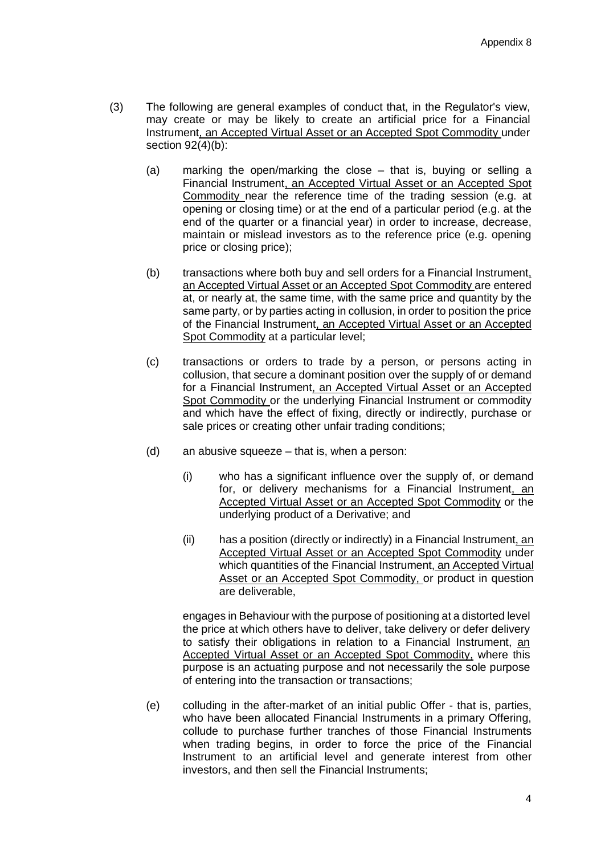- (3) The following are general examples of conduct that, in the Regulator's view, may create or may be likely to create an artificial price for a Financial Instrument, an Accepted Virtual Asset or an Accepted Spot Commodity under section 92(4)(b):
	- (a) marking the open/marking the close that is, buying or selling a Financial Instrument, an Accepted Virtual Asset or an Accepted Spot Commodity near the reference time of the trading session (e.g. at opening or closing time) or at the end of a particular period (e.g. at the end of the quarter or a financial year) in order to increase, decrease, maintain or mislead investors as to the reference price (e.g. opening price or closing price);
	- (b) transactions where both buy and sell orders for a Financial Instrument, an Accepted Virtual Asset or an Accepted Spot Commodity are entered at, or nearly at, the same time, with the same price and quantity by the same party, or by parties acting in collusion, in order to position the price of the Financial Instrument, an Accepted Virtual Asset or an Accepted Spot Commodity at a particular level;
	- (c) transactions or orders to trade by a person, or persons acting in collusion, that secure a dominant position over the supply of or demand for a Financial Instrument, an Accepted Virtual Asset or an Accepted Spot Commodity or the underlying Financial Instrument or commodity and which have the effect of fixing, directly or indirectly, purchase or sale prices or creating other unfair trading conditions;
	- (d) an abusive squeeze that is, when a person:
		- (i) who has a significant influence over the supply of, or demand for, or delivery mechanisms for a Financial Instrument, an Accepted Virtual Asset or an Accepted Spot Commodity or the underlying product of a Derivative; and
		- (ii) has a position (directly or indirectly) in a Financial Instrument, an Accepted Virtual Asset or an Accepted Spot Commodity under which quantities of the Financial Instrument, an Accepted Virtual Asset or an Accepted Spot Commodity, or product in question are deliverable,

engages in Behaviour with the purpose of positioning at a distorted level the price at which others have to deliver, take delivery or defer delivery to satisfy their obligations in relation to a Financial Instrument, an Accepted Virtual Asset or an Accepted Spot Commodity, where this purpose is an actuating purpose and not necessarily the sole purpose of entering into the transaction or transactions;

(e) colluding in the after-market of an initial public Offer - that is, parties, who have been allocated Financial Instruments in a primary Offering, collude to purchase further tranches of those Financial Instruments when trading begins, in order to force the price of the Financial Instrument to an artificial level and generate interest from other investors, and then sell the Financial Instruments;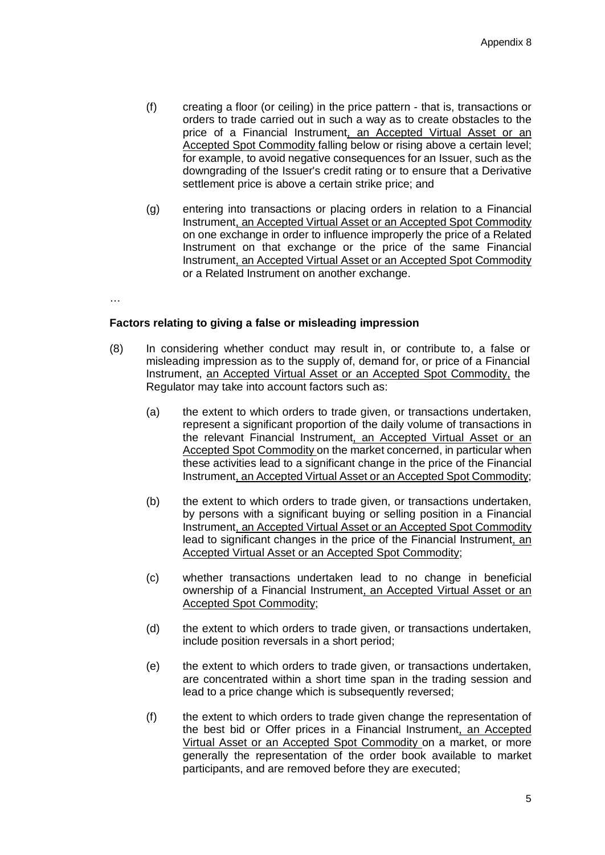- (f) creating a floor (or ceiling) in the price pattern that is, transactions or orders to trade carried out in such a way as to create obstacles to the price of a Financial Instrument, an Accepted Virtual Asset or an Accepted Spot Commodity falling below or rising above a certain level; for example, to avoid negative consequences for an Issuer, such as the downgrading of the Issuer's credit rating or to ensure that a Derivative settlement price is above a certain strike price; and
- (g) entering into transactions or placing orders in relation to a Financial Instrument, an Accepted Virtual Asset or an Accepted Spot Commodity on one exchange in order to influence improperly the price of a Related Instrument on that exchange or the price of the same Financial Instrument, an Accepted Virtual Asset or an Accepted Spot Commodity or a Related Instrument on another exchange.

…

### **Factors relating to giving a false or misleading impression**

- (8) In considering whether conduct may result in, or contribute to, a false or misleading impression as to the supply of, demand for, or price of a Financial Instrument, an Accepted Virtual Asset or an Accepted Spot Commodity, the Regulator may take into account factors such as:
	- (a) the extent to which orders to trade given, or transactions undertaken, represent a significant proportion of the daily volume of transactions in the relevant Financial Instrument, an Accepted Virtual Asset or an Accepted Spot Commodity on the market concerned, in particular when these activities lead to a significant change in the price of the Financial Instrument, an Accepted Virtual Asset or an Accepted Spot Commodity;
	- (b) the extent to which orders to trade given, or transactions undertaken, by persons with a significant buying or selling position in a Financial Instrument, an Accepted Virtual Asset or an Accepted Spot Commodity lead to significant changes in the price of the Financial Instrument, an Accepted Virtual Asset or an Accepted Spot Commodity;
	- (c) whether transactions undertaken lead to no change in beneficial ownership of a Financial Instrument, an Accepted Virtual Asset or an Accepted Spot Commodity;
	- (d) the extent to which orders to trade given, or transactions undertaken, include position reversals in a short period;
	- (e) the extent to which orders to trade given, or transactions undertaken, are concentrated within a short time span in the trading session and lead to a price change which is subsequently reversed;
	- (f) the extent to which orders to trade given change the representation of the best bid or Offer prices in a Financial Instrument, an Accepted Virtual Asset or an Accepted Spot Commodity on a market, or more generally the representation of the order book available to market participants, and are removed before they are executed;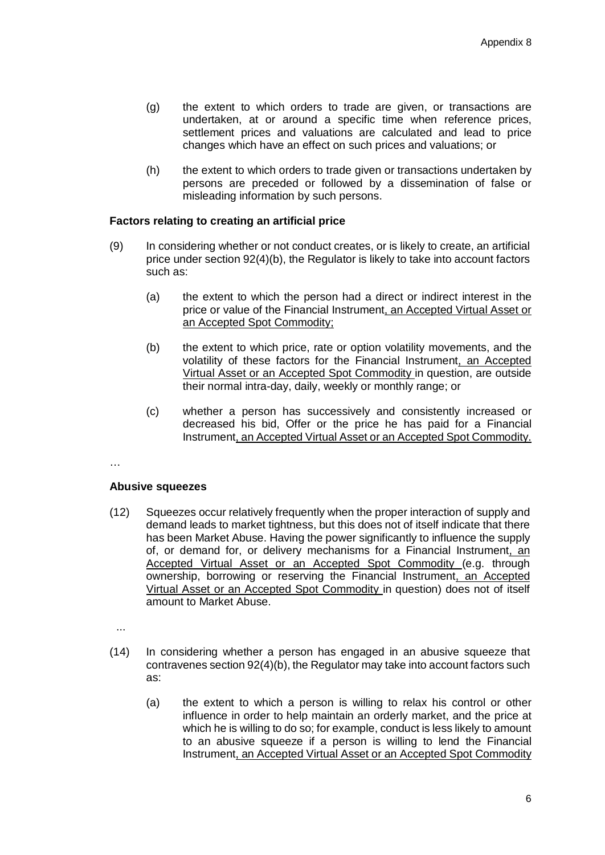- (g) the extent to which orders to trade are given, or transactions are undertaken, at or around a specific time when reference prices, settlement prices and valuations are calculated and lead to price changes which have an effect on such prices and valuations; or
- (h) the extent to which orders to trade given or transactions undertaken by persons are preceded or followed by a dissemination of false or misleading information by such persons.

### **Factors relating to creating an artificial price**

- (9) In considering whether or not conduct creates, or is likely to create, an artificial price under section 92(4)(b), the Regulator is likely to take into account factors such as:
	- (a) the extent to which the person had a direct or indirect interest in the price or value of the Financial Instrument, an Accepted Virtual Asset or an Accepted Spot Commodity;
	- (b) the extent to which price, rate or option volatility movements, and the volatility of these factors for the Financial Instrument, an Accepted Virtual Asset or an Accepted Spot Commodity in question, are outside their normal intra-day, daily, weekly or monthly range; or
	- (c) whether a person has successively and consistently increased or decreased his bid, Offer or the price he has paid for a Financial Instrument, an Accepted Virtual Asset or an Accepted Spot Commodity.

…

### **Abusive squeezes**

(12) Squeezes occur relatively frequently when the proper interaction of supply and demand leads to market tightness, but this does not of itself indicate that there has been Market Abuse. Having the power significantly to influence the supply of, or demand for, or delivery mechanisms for a Financial Instrument, an Accepted Virtual Asset or an Accepted Spot Commodity (e.g. through ownership, borrowing or reserving the Financial Instrument, an Accepted Virtual Asset or an Accepted Spot Commodity in question) does not of itself amount to Market Abuse.

...

- (14) In considering whether a person has engaged in an abusive squeeze that contravenes section 92(4)(b), the Regulator may take into account factors such as:
	- (a) the extent to which a person is willing to relax his control or other influence in order to help maintain an orderly market, and the price at which he is willing to do so; for example, conduct is less likely to amount to an abusive squeeze if a person is willing to lend the Financial Instrument, an Accepted Virtual Asset or an Accepted Spot Commodity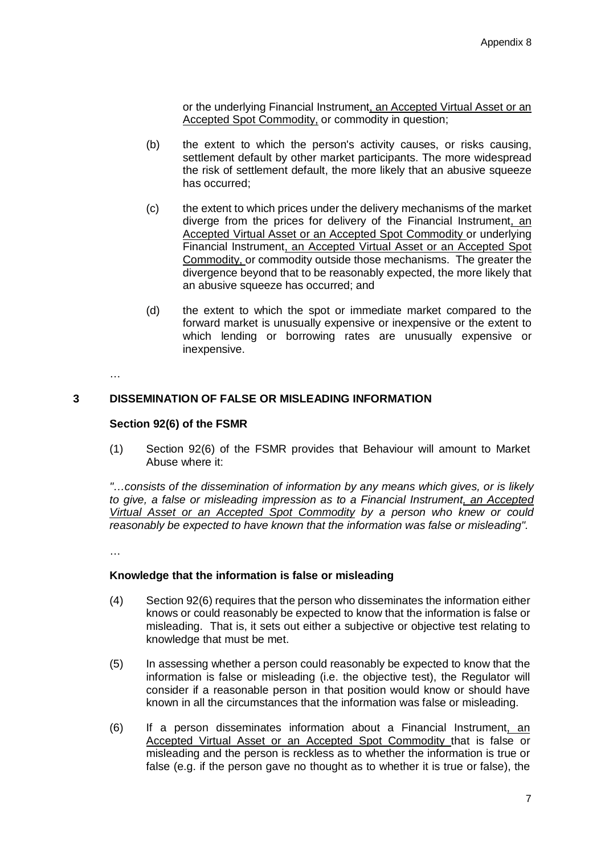or the underlying Financial Instrument, an Accepted Virtual Asset or an Accepted Spot Commodity, or commodity in question;

- (b) the extent to which the person's activity causes, or risks causing, settlement default by other market participants. The more widespread the risk of settlement default, the more likely that an abusive squeeze has occurred;
- (c) the extent to which prices under the delivery mechanisms of the market diverge from the prices for delivery of the Financial Instrument, an Accepted Virtual Asset or an Accepted Spot Commodity or underlying Financial Instrument, an Accepted Virtual Asset or an Accepted Spot Commodity, or commodity outside those mechanisms. The greater the divergence beyond that to be reasonably expected, the more likely that an abusive squeeze has occurred; and
- (d) the extent to which the spot or immediate market compared to the forward market is unusually expensive or inexpensive or the extent to which lending or borrowing rates are unusually expensive or inexpensive.

…

# **3 DISSEMINATION OF FALSE OR MISLEADING INFORMATION**

### **Section 92(6) of the FSMR**

(1) Section 92(6) of the FSMR provides that Behaviour will amount to Market Abuse where it:

*"…consists of the dissemination of information by any means which gives, or is likely to give, a false or misleading impression as to a Financial Instrument, an Accepted Virtual Asset or an Accepted Spot Commodity by a person who knew or could reasonably be expected to have known that the information was false or misleading".*

…

### **Knowledge that the information is false or misleading**

- (4) Section 92(6) requires that the person who disseminates the information either knows or could reasonably be expected to know that the information is false or misleading. That is, it sets out either a subjective or objective test relating to knowledge that must be met.
- (5) In assessing whether a person could reasonably be expected to know that the information is false or misleading (i.e. the objective test), the Regulator will consider if a reasonable person in that position would know or should have known in all the circumstances that the information was false or misleading.
- (6) If a person disseminates information about a Financial Instrument, an Accepted Virtual Asset or an Accepted Spot Commodity that is false or misleading and the person is reckless as to whether the information is true or false (e.g. if the person gave no thought as to whether it is true or false), the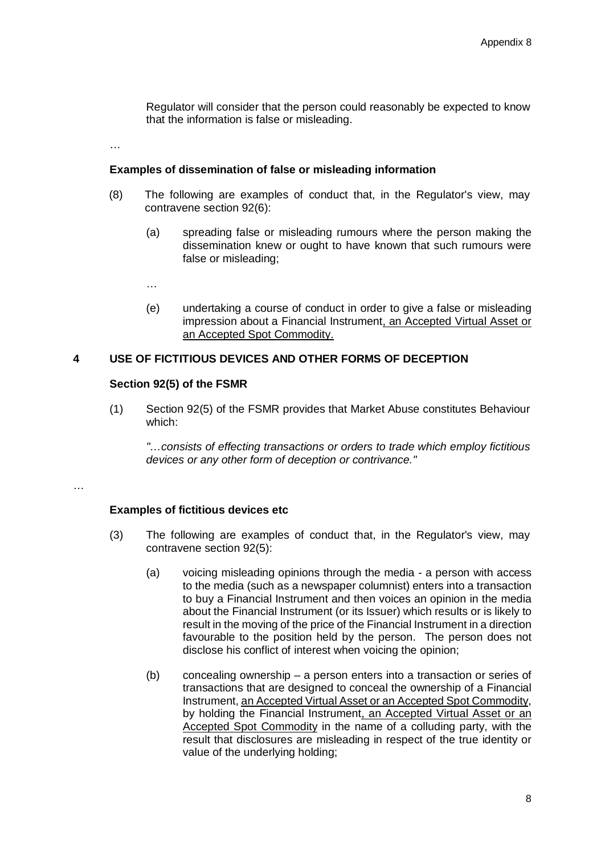Regulator will consider that the person could reasonably be expected to know that the information is false or misleading.

…

### **Examples of dissemination of false or misleading information**

- (8) The following are examples of conduct that, in the Regulator's view, may contravene section 92(6):
	- (a) spreading false or misleading rumours where the person making the dissemination knew or ought to have known that such rumours were false or misleading;

…

(e) undertaking a course of conduct in order to give a false or misleading impression about a Financial Instrument, an Accepted Virtual Asset or an Accepted Spot Commodity.

### **4 USE OF FICTITIOUS DEVICES AND OTHER FORMS OF DECEPTION**

### **Section 92(5) of the FSMR**

(1) Section 92(5) of the FSMR provides that Market Abuse constitutes Behaviour which:

*"…consists of effecting transactions or orders to trade which employ fictitious devices or any other form of deception or contrivance."*

…

# **Examples of fictitious devices etc**

- (3) The following are examples of conduct that, in the Regulator's view, may contravene section 92(5):
	- (a) voicing misleading opinions through the media a person with access to the media (such as a newspaper columnist) enters into a transaction to buy a Financial Instrument and then voices an opinion in the media about the Financial Instrument (or its Issuer) which results or is likely to result in the moving of the price of the Financial Instrument in a direction favourable to the position held by the person. The person does not disclose his conflict of interest when voicing the opinion;
	- (b) concealing ownership a person enters into a transaction or series of transactions that are designed to conceal the ownership of a Financial Instrument, an Accepted Virtual Asset or an Accepted Spot Commodity, by holding the Financial Instrument, an Accepted Virtual Asset or an Accepted Spot Commodity in the name of a colluding party, with the result that disclosures are misleading in respect of the true identity or value of the underlying holding;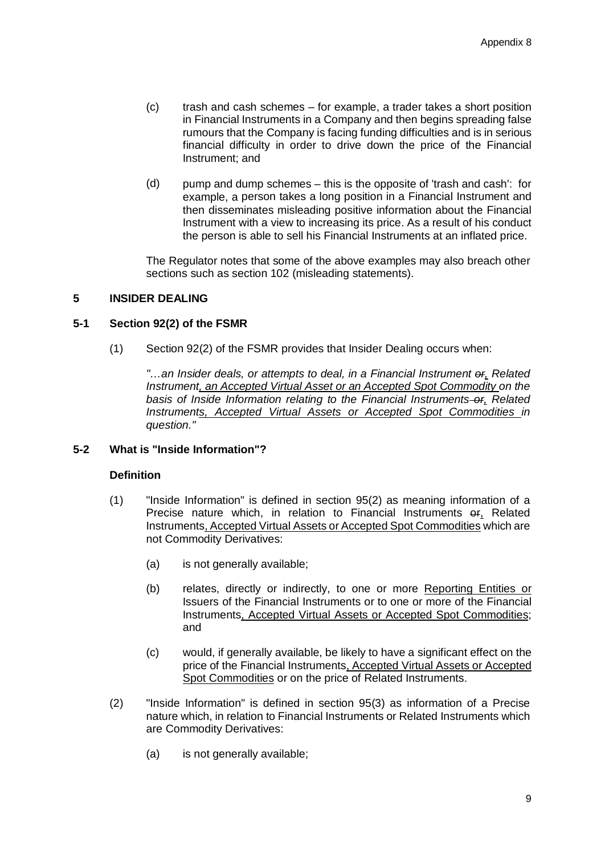- (c) trash and cash schemes for example, a trader takes a short position in Financial Instruments in a Company and then begins spreading false rumours that the Company is facing funding difficulties and is in serious financial difficulty in order to drive down the price of the Financial Instrument; and
- (d) pump and dump schemes this is the opposite of 'trash and cash': for example, a person takes a long position in a Financial Instrument and then disseminates misleading positive information about the Financial Instrument with a view to increasing its price. As a result of his conduct the person is able to sell his Financial Instruments at an inflated price.

The Regulator notes that some of the above examples may also breach other sections such as section 102 (misleading statements).

### **5 INSIDER DEALING**

### **5-1 Section 92(2) of the FSMR**

(1) Section 92(2) of the FSMR provides that Insider Dealing occurs when:

*"…an Insider deals, or attempts to deal, in a Financial Instrument or, Related Instrument, an Accepted Virtual Asset or an Accepted Spot Commodity on the basis of Inside Information relating to the Financial Instruments or, Related Instruments, Accepted Virtual Assets or Accepted Spot Commodities in question."*

# **5-2 What is "Inside Information"?**

### **Definition**

- (1) "Inside Information" is defined in section 95(2) as meaning information of a Precise nature which, in relation to Financial Instruments of Related Instruments, Accepted Virtual Assets or Accepted Spot Commodities which are not Commodity Derivatives:
	- (a) is not generally available;
	- (b) relates, directly or indirectly, to one or more Reporting Entities or Issuers of the Financial Instruments or to one or more of the Financial Instruments, Accepted Virtual Assets or Accepted Spot Commodities; and
	- (c) would, if generally available, be likely to have a significant effect on the price of the Financial Instruments, Accepted Virtual Assets or Accepted Spot Commodities or on the price of Related Instruments.
- (2) "Inside Information" is defined in section 95(3) as information of a Precise nature which, in relation to Financial Instruments or Related Instruments which are Commodity Derivatives:
	- (a) is not generally available;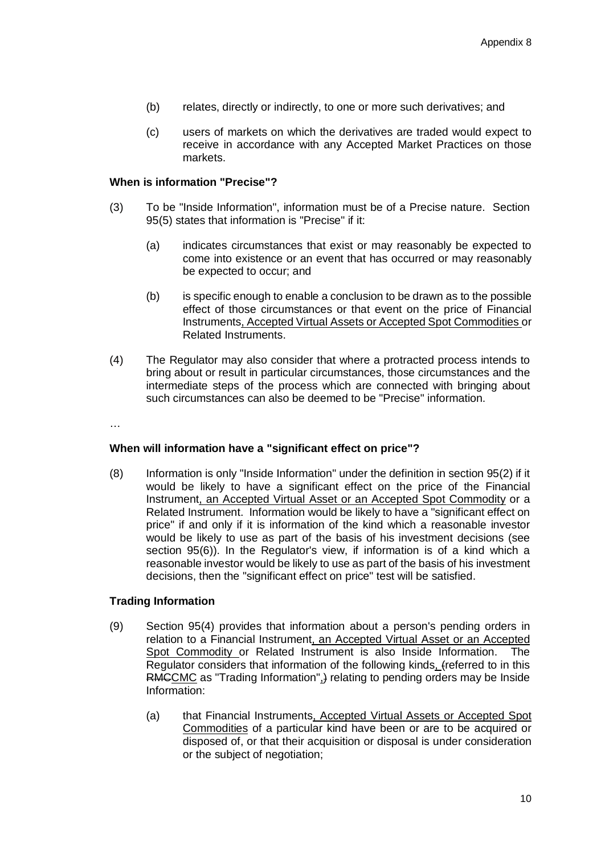- (b) relates, directly or indirectly, to one or more such derivatives; and
- (c) users of markets on which the derivatives are traded would expect to receive in accordance with any Accepted Market Practices on those markets.

### **When is information "Precise"?**

- (3) To be "Inside Information", information must be of a Precise nature. Section 95(5) states that information is "Precise" if it:
	- (a) indicates circumstances that exist or may reasonably be expected to come into existence or an event that has occurred or may reasonably be expected to occur; and
	- (b) is specific enough to enable a conclusion to be drawn as to the possible effect of those circumstances or that event on the price of Financial Instruments, Accepted Virtual Assets or Accepted Spot Commodities or Related Instruments.
- (4) The Regulator may also consider that where a protracted process intends to bring about or result in particular circumstances, those circumstances and the intermediate steps of the process which are connected with bringing about such circumstances can also be deemed to be "Precise" information.

…

# **When will information have a "significant effect on price"?**

(8) Information is only "Inside Information" under the definition in section 95(2) if it would be likely to have a significant effect on the price of the Financial Instrument, an Accepted Virtual Asset or an Accepted Spot Commodity or a Related Instrument. Information would be likely to have a "significant effect on price" if and only if it is information of the kind which a reasonable investor would be likely to use as part of the basis of his investment decisions (see section 95(6)). In the Regulator's view, if information is of a kind which a reasonable investor would be likely to use as part of the basis of his investment decisions, then the "significant effect on price" test will be satisfied.

# **Trading Information**

- (9) Section 95(4) provides that information about a person's pending orders in relation to a Financial Instrument, an Accepted Virtual Asset or an Accepted Spot Commodity or Related Instrument is also Inside Information. The Regulator considers that information of the following kinds, (referred to in this RMCCMC as "Trading Information",) relating to pending orders may be Inside Information:
	- (a) that Financial Instruments, Accepted Virtual Assets or Accepted Spot Commodities of a particular kind have been or are to be acquired or disposed of, or that their acquisition or disposal is under consideration or the subject of negotiation;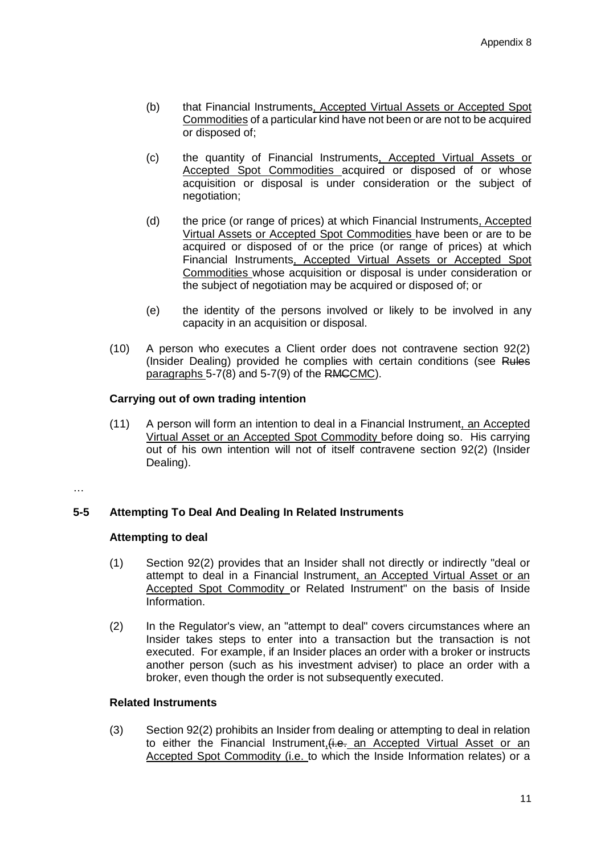- (b) that Financial Instruments, Accepted Virtual Assets or Accepted Spot Commodities of a particular kind have not been or are not to be acquired or disposed of;
- (c) the quantity of Financial Instruments, Accepted Virtual Assets or Accepted Spot Commodities acquired or disposed of or whose acquisition or disposal is under consideration or the subject of negotiation;
- (d) the price (or range of prices) at which Financial Instruments, Accepted Virtual Assets or Accepted Spot Commodities have been or are to be acquired or disposed of or the price (or range of prices) at which Financial Instruments, Accepted Virtual Assets or Accepted Spot Commodities whose acquisition or disposal is under consideration or the subject of negotiation may be acquired or disposed of; or
- (e) the identity of the persons involved or likely to be involved in any capacity in an acquisition or disposal.
- (10) A person who executes a Client order does not contravene section 92(2) (Insider Dealing) provided he complies with certain conditions (see Rules paragraphs 5-7(8) and 5-7(9) of the RMCCMC).

# **Carrying out of own trading intention**

(11) A person will form an intention to deal in a Financial Instrument, an Accepted Virtual Asset or an Accepted Spot Commodity before doing so. His carrying out of his own intention will not of itself contravene section 92(2) (Insider Dealing).

### …

# **5-5 Attempting To Deal And Dealing In Related Instruments**

# **Attempting to deal**

- (1) Section 92(2) provides that an Insider shall not directly or indirectly "deal or attempt to deal in a Financial Instrument, an Accepted Virtual Asset or an Accepted Spot Commodity or Related Instrument" on the basis of Inside Information.
- (2) In the Regulator's view, an "attempt to deal" covers circumstances where an Insider takes steps to enter into a transaction but the transaction is not executed. For example, if an Insider places an order with a broker or instructs another person (such as his investment adviser) to place an order with a broker, even though the order is not subsequently executed.

# **Related Instruments**

(3) Section 92(2) prohibits an Insider from dealing or attempting to deal in relation to either the Financial Instrument,  $(i.e.,$  an Accepted Virtual Asset or an Accepted Spot Commodity (i.e. to which the Inside Information relates) or a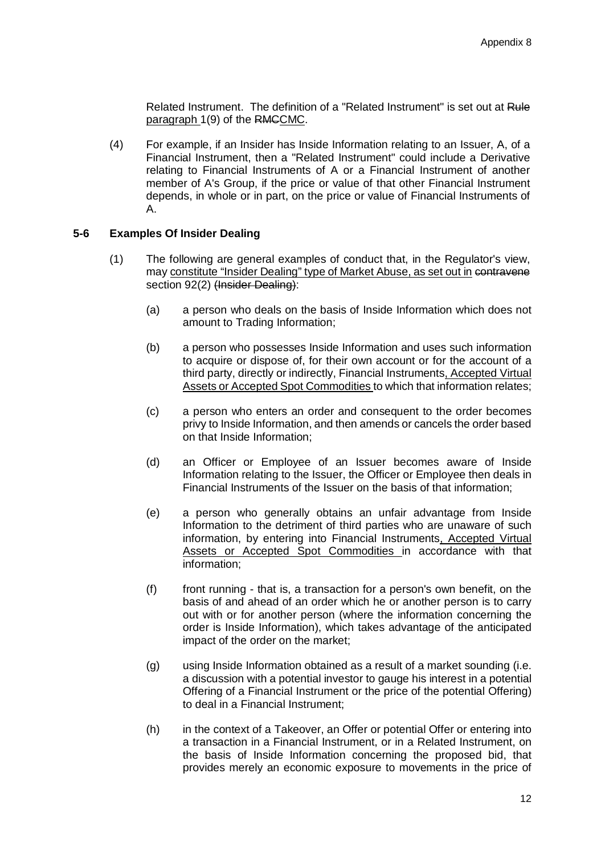Related Instrument. The definition of a "Related Instrument" is set out at Rule paragraph 1(9) of the RMCCMC.

(4) For example, if an Insider has Inside Information relating to an Issuer, A, of a Financial Instrument, then a "Related Instrument" could include a Derivative relating to Financial Instruments of A or a Financial Instrument of another member of A's Group, if the price or value of that other Financial Instrument depends, in whole or in part, on the price or value of Financial Instruments of A.

### **5-6 Examples Of Insider Dealing**

- (1) The following are general examples of conduct that, in the Regulator's view, may constitute "Insider Dealing" type of Market Abuse, as set out in contravene section 92(2) (Insider Dealing):
	- (a) a person who deals on the basis of Inside Information which does not amount to Trading Information;
	- (b) a person who possesses Inside Information and uses such information to acquire or dispose of, for their own account or for the account of a third party, directly or indirectly, Financial Instruments, Accepted Virtual Assets or Accepted Spot Commodities to which that information relates;
	- (c) a person who enters an order and consequent to the order becomes privy to Inside Information, and then amends or cancels the order based on that Inside Information;
	- (d) an Officer or Employee of an Issuer becomes aware of Inside Information relating to the Issuer, the Officer or Employee then deals in Financial Instruments of the Issuer on the basis of that information;
	- (e) a person who generally obtains an unfair advantage from Inside Information to the detriment of third parties who are unaware of such information, by entering into Financial Instruments, Accepted Virtual Assets or Accepted Spot Commodities in accordance with that information;
	- (f) front running that is, a transaction for a person's own benefit, on the basis of and ahead of an order which he or another person is to carry out with or for another person (where the information concerning the order is Inside Information), which takes advantage of the anticipated impact of the order on the market;
	- (g) using Inside Information obtained as a result of a market sounding (i.e. a discussion with a potential investor to gauge his interest in a potential Offering of a Financial Instrument or the price of the potential Offering) to deal in a Financial Instrument;
	- (h) in the context of a Takeover, an Offer or potential Offer or entering into a transaction in a Financial Instrument, or in a Related Instrument, on the basis of Inside Information concerning the proposed bid, that provides merely an economic exposure to movements in the price of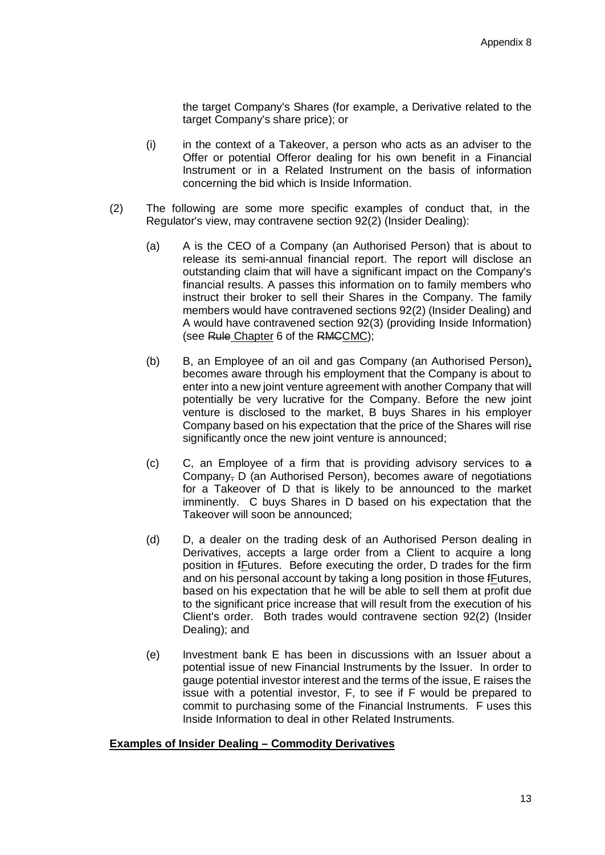the target Company's Shares (for example, a Derivative related to the target Company's share price); or

- (i) in the context of a Takeover, a person who acts as an adviser to the Offer or potential Offeror dealing for his own benefit in a Financial Instrument or in a Related Instrument on the basis of information concerning the bid which is Inside Information.
- (2) The following are some more specific examples of conduct that, in the Regulator's view, may contravene section 92(2) (Insider Dealing):
	- (a) A is the CEO of a Company (an Authorised Person) that is about to release its semi-annual financial report. The report will disclose an outstanding claim that will have a significant impact on the Company's financial results. A passes this information on to family members who instruct their broker to sell their Shares in the Company. The family members would have contravened sections 92(2) (Insider Dealing) and A would have contravened section 92(3) (providing Inside Information) (see Rule Chapter 6 of the RMCCMC);
	- (b) B, an Employee of an oil and gas Company (an Authorised Person), becomes aware through his employment that the Company is about to enter into a new joint venture agreement with another Company that will potentially be very lucrative for the Company. Before the new joint venture is disclosed to the market, B buys Shares in his employer Company based on his expectation that the price of the Shares will rise significantly once the new joint venture is announced;
	- (c) C, an Employee of a firm that is providing advisory services to a Company, D (an Authorised Person), becomes aware of negotiations for a Takeover of D that is likely to be announced to the market imminently. C buys Shares in D based on his expectation that the Takeover will soon be announced;
	- (d) D, a dealer on the trading desk of an Authorised Person dealing in Derivatives, accepts a large order from a Client to acquire a long position in fFutures. Before executing the order, D trades for the firm and on his personal account by taking a long position in those fFutures, based on his expectation that he will be able to sell them at profit due to the significant price increase that will result from the execution of his Client's order. Both trades would contravene section 92(2) (Insider Dealing); and
	- (e) Investment bank E has been in discussions with an Issuer about a potential issue of new Financial Instruments by the Issuer. In order to gauge potential investor interest and the terms of the issue, E raises the issue with a potential investor, F, to see if F would be prepared to commit to purchasing some of the Financial Instruments. F uses this Inside Information to deal in other Related Instruments.

# **Examples of Insider Dealing – Commodity Derivatives**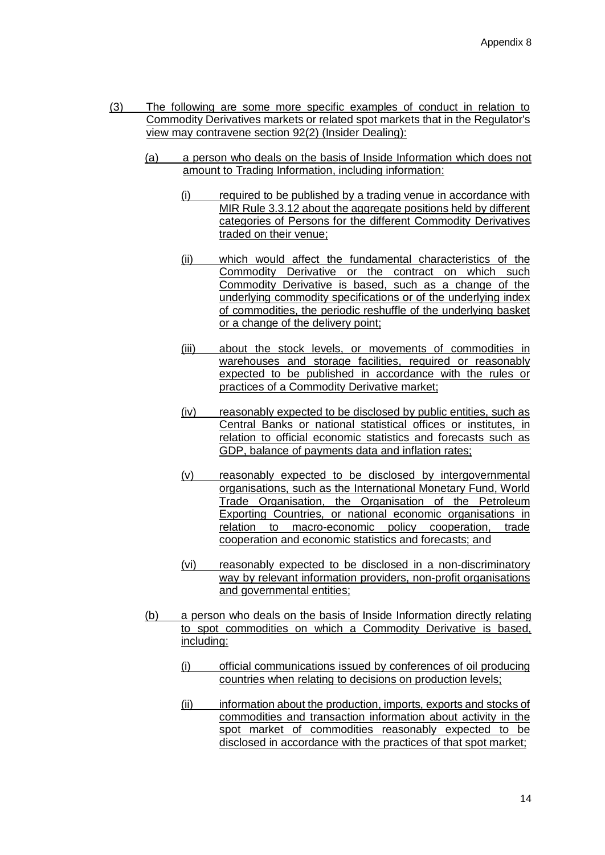- (3) The following are some more specific examples of conduct in relation to Commodity Derivatives markets or related spot markets that in the Regulator's view may contravene section 92(2) (Insider Dealing):
	- (a) a person who deals on the basis of Inside Information which does not amount to Trading Information, including information:
		- (i) required to be published by a trading venue in accordance with MIR Rule 3.3.12 about the aggregate positions held by different categories of Persons for the different Commodity Derivatives traded on their venue;
		- (ii) which would affect the fundamental characteristics of the Commodity Derivative or the contract on which such Commodity Derivative is based, such as a change of the underlying commodity specifications or of the underlying index of commodities, the periodic reshuffle of the underlying basket or a change of the delivery point;
		- (iii) about the stock levels, or movements of commodities in warehouses and storage facilities, required or reasonably expected to be published in accordance with the rules or practices of a Commodity Derivative market;
		- (iv) reasonably expected to be disclosed by public entities, such as Central Banks or national statistical offices or institutes, in relation to official economic statistics and forecasts such as GDP, balance of payments data and inflation rates;
		- (v) reasonably expected to be disclosed by intergovernmental organisations, such as the International Monetary Fund, World Trade Organisation, the Organisation of the Petroleum Exporting Countries, or national economic organisations in relation to macro-economic policy cooperation, trade cooperation and economic statistics and forecasts; and
		- (vi) reasonably expected to be disclosed in a non-discriminatory way by relevant information providers, non-profit organisations and governmental entities;
	- (b) a person who deals on the basis of Inside Information directly relating to spot commodities on which a Commodity Derivative is based, including:
		- (i) official communications issued by conferences of oil producing countries when relating to decisions on production levels;
		- (ii) information about the production, imports, exports and stocks of commodities and transaction information about activity in the spot market of commodities reasonably expected to be disclosed in accordance with the practices of that spot market;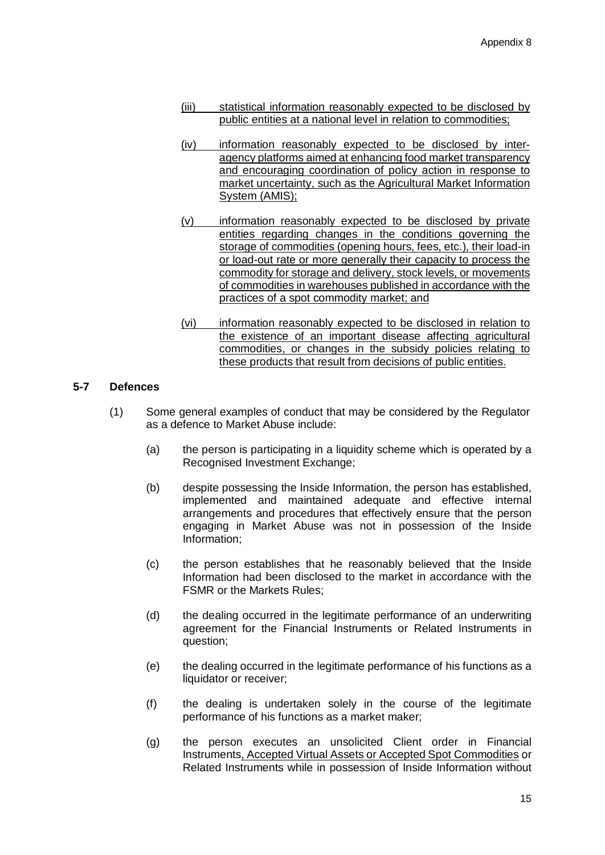- (iii) statistical information reasonably expected to be disclosed by public entities at a national level in relation to commodities;
- (iv) information reasonably expected to be disclosed by interagency platforms aimed at enhancing food market transparency and encouraging coordination of policy action in response to market uncertainty, such as the Agricultural Market Information System (AMIS);
- (v) information reasonably expected to be disclosed by private entities regarding changes in the conditions governing the storage of commodities (opening hours, fees, etc.), their load-in or load-out rate or more generally their capacity to process the commodity for storage and delivery, stock levels, or movements of commodities in warehouses published in accordance with the practices of a spot commodity market; and
- (vi) information reasonably expected to be disclosed in relation to the existence of an important disease affecting agricultural commodities, or changes in the subsidy policies relating to these products that result from decisions of public entities.

# **5-7 Defences**

- (1) Some general examples of conduct that may be considered by the Regulator as a defence to Market Abuse include:
	- (a) the person is participating in a liquidity scheme which is operated by a Recognised Investment Exchange;
	- (b) despite possessing the Inside Information, the person has established, implemented and maintained adequate and effective internal arrangements and procedures that effectively ensure that the person engaging in Market Abuse was not in possession of the Inside Information;
	- (c) the person establishes that he reasonably believed that the Inside Information had been disclosed to the market in accordance with the FSMR or the Markets Rules;
	- (d) the dealing occurred in the legitimate performance of an underwriting agreement for the Financial Instruments or Related Instruments in question;
	- (e) the dealing occurred in the legitimate performance of his functions as a liquidator or receiver;
	- (f) the dealing is undertaken solely in the course of the legitimate performance of his functions as a market maker;
	- (g) the person executes an unsolicited Client order in Financial Instruments, Accepted Virtual Assets or Accepted Spot Commodities or Related Instruments while in possession of Inside Information without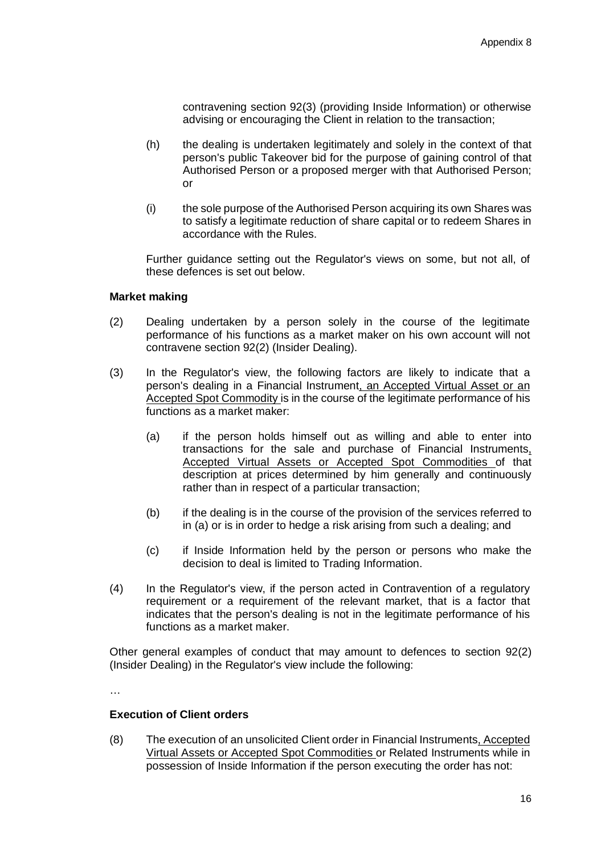contravening section 92(3) (providing Inside Information) or otherwise advising or encouraging the Client in relation to the transaction;

- (h) the dealing is undertaken legitimately and solely in the context of that person's public Takeover bid for the purpose of gaining control of that Authorised Person or a proposed merger with that Authorised Person; or
- (i) the sole purpose of the Authorised Person acquiring its own Shares was to satisfy a legitimate reduction of share capital or to redeem Shares in accordance with the Rules.

Further guidance setting out the Regulator's views on some, but not all, of these defences is set out below.

### **Market making**

- (2) Dealing undertaken by a person solely in the course of the legitimate performance of his functions as a market maker on his own account will not contravene section 92(2) (Insider Dealing).
- (3) In the Regulator's view, the following factors are likely to indicate that a person's dealing in a Financial Instrument, an Accepted Virtual Asset or an Accepted Spot Commodity is in the course of the legitimate performance of his functions as a market maker:
	- (a) if the person holds himself out as willing and able to enter into transactions for the sale and purchase of Financial Instruments, Accepted Virtual Assets or Accepted Spot Commodities of that description at prices determined by him generally and continuously rather than in respect of a particular transaction;
	- (b) if the dealing is in the course of the provision of the services referred to in (a) or is in order to hedge a risk arising from such a dealing; and
	- (c) if Inside Information held by the person or persons who make the decision to deal is limited to Trading Information.
- (4) In the Regulator's view, if the person acted in Contravention of a regulatory requirement or a requirement of the relevant market, that is a factor that indicates that the person's dealing is not in the legitimate performance of his functions as a market maker.

Other general examples of conduct that may amount to defences to section 92(2) (Insider Dealing) in the Regulator's view include the following:

…

### **Execution of Client orders**

(8) The execution of an unsolicited Client order in Financial Instruments, Accepted Virtual Assets or Accepted Spot Commodities or Related Instruments while in possession of Inside Information if the person executing the order has not: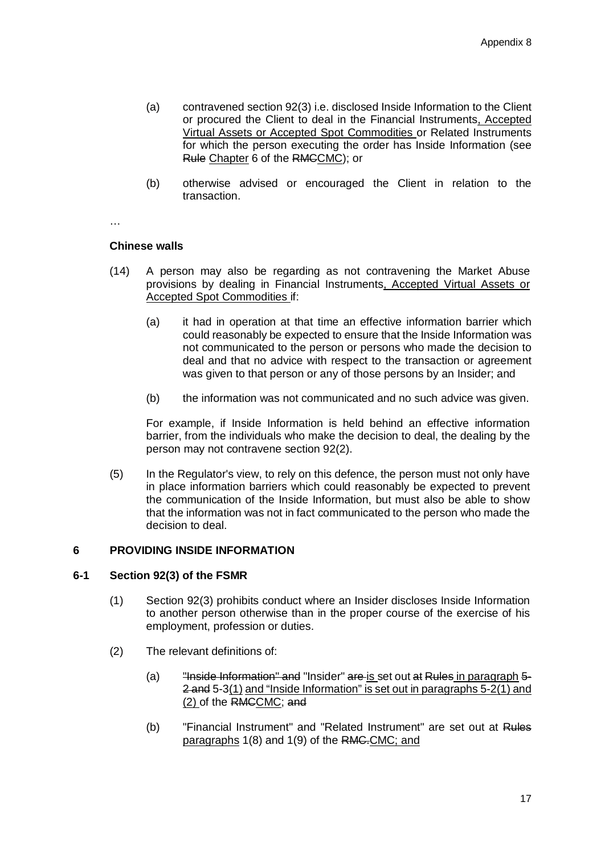- (a) contravened section 92(3) i.e. disclosed Inside Information to the Client or procured the Client to deal in the Financial Instruments, Accepted Virtual Assets or Accepted Spot Commodities or Related Instruments for which the person executing the order has Inside Information (see Rule Chapter 6 of the RMCCMC); or
- (b) otherwise advised or encouraged the Client in relation to the transaction.

…

### **Chinese walls**

- (14) A person may also be regarding as not contravening the Market Abuse provisions by dealing in Financial Instruments, Accepted Virtual Assets or Accepted Spot Commodities if:
	- (a) it had in operation at that time an effective information barrier which could reasonably be expected to ensure that the Inside Information was not communicated to the person or persons who made the decision to deal and that no advice with respect to the transaction or agreement was given to that person or any of those persons by an Insider; and
	- (b) the information was not communicated and no such advice was given.

For example, if Inside Information is held behind an effective information barrier, from the individuals who make the decision to deal, the dealing by the person may not contravene section 92(2).

(5) In the Regulator's view, to rely on this defence, the person must not only have in place information barriers which could reasonably be expected to prevent the communication of the Inside Information, but must also be able to show that the information was not in fact communicated to the person who made the decision to deal.

# **6 PROVIDING INSIDE INFORMATION**

# **6-1 Section 92(3) of the FSMR**

- (1) Section 92(3) prohibits conduct where an Insider discloses Inside Information to another person otherwise than in the proper course of the exercise of his employment, profession or duties.
- (2) The relevant definitions of:
	- (a) "Inside Information" and "Insider" are is set out at Rules in paragraph 5- 2 and 5-3(1) and "Inside Information" is set out in paragraphs 5-2(1) and (2) of the RMCCMC; and
	- (b) "Financial Instrument" and "Related Instrument" are set out at Rules paragraphs 1(8) and 1(9) of the RMC.CMC; and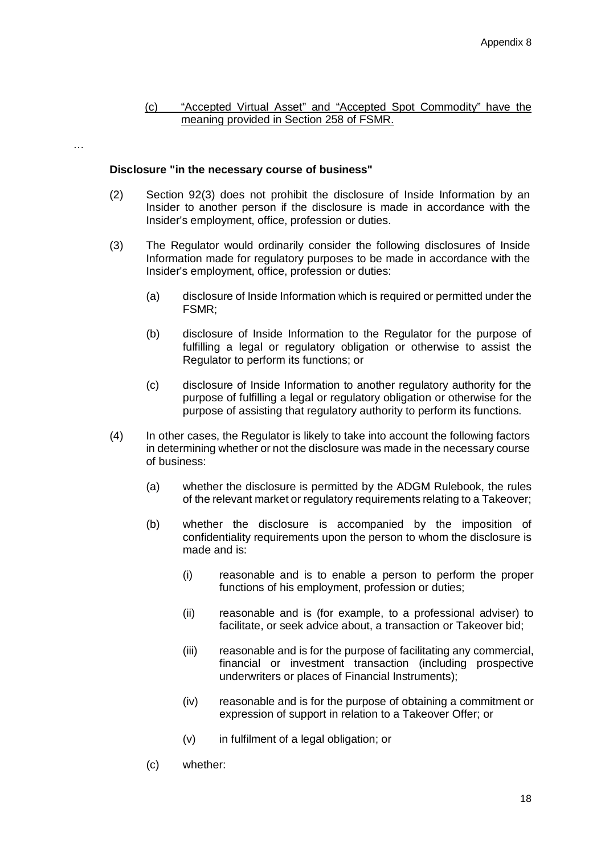### (c) "Accepted Virtual Asset" and "Accepted Spot Commodity" have the meaning provided in Section 258 of FSMR.

…

### **Disclosure "in the necessary course of business"**

- (2) Section 92(3) does not prohibit the disclosure of Inside Information by an Insider to another person if the disclosure is made in accordance with the Insider's employment, office, profession or duties.
- (3) The Regulator would ordinarily consider the following disclosures of Inside Information made for regulatory purposes to be made in accordance with the Insider's employment, office, profession or duties:
	- (a) disclosure of Inside Information which is required or permitted under the FSMR;
	- (b) disclosure of Inside Information to the Regulator for the purpose of fulfilling a legal or regulatory obligation or otherwise to assist the Regulator to perform its functions; or
	- (c) disclosure of Inside Information to another regulatory authority for the purpose of fulfilling a legal or regulatory obligation or otherwise for the purpose of assisting that regulatory authority to perform its functions.
- (4) In other cases, the Regulator is likely to take into account the following factors in determining whether or not the disclosure was made in the necessary course of business:
	- (a) whether the disclosure is permitted by the ADGM Rulebook, the rules of the relevant market or regulatory requirements relating to a Takeover;
	- (b) whether the disclosure is accompanied by the imposition of confidentiality requirements upon the person to whom the disclosure is made and is:
		- (i) reasonable and is to enable a person to perform the proper functions of his employment, profession or duties;
		- (ii) reasonable and is (for example, to a professional adviser) to facilitate, or seek advice about, a transaction or Takeover bid;
		- (iii) reasonable and is for the purpose of facilitating any commercial, financial or investment transaction (including prospective underwriters or places of Financial Instruments);
		- (iv) reasonable and is for the purpose of obtaining a commitment or expression of support in relation to a Takeover Offer; or
		- (v) in fulfilment of a legal obligation; or
	- (c) whether: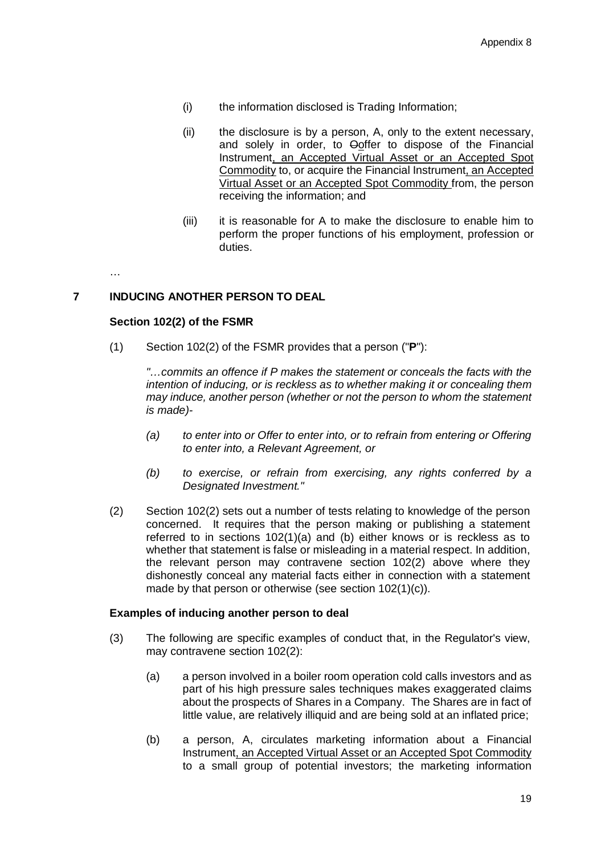- (i) the information disclosed is Trading Information;
- (ii) the disclosure is by a person, A, only to the extent necessary, and solely in order, to Ooffer to dispose of the Financial Instrument, an Accepted Virtual Asset or an Accepted Spot Commodity to, or acquire the Financial Instrument, an Accepted Virtual Asset or an Accepted Spot Commodity from, the person receiving the information; and
- (iii) it is reasonable for A to make the disclosure to enable him to perform the proper functions of his employment, profession or duties.

…

# **7 INDUCING ANOTHER PERSON TO DEAL**

### **Section 102(2) of the FSMR**

(1) Section 102(2) of the FSMR provides that a person ("**P**"):

*"…commits an offence if P makes the statement or conceals the facts with the intention of inducing, or is reckless as to whether making it or concealing them may induce, another person (whether or not the person to whom the statement is made)-*

- *(a) to enter into or Offer to enter into, or to refrain from entering or Offering to enter into, a Relevant Agreement, or*
- *(b) to exercise, or refrain from exercising, any rights conferred by a Designated Investment."*
- (2) Section 102(2) sets out a number of tests relating to knowledge of the person concerned. It requires that the person making or publishing a statement referred to in sections 102(1)(a) and (b) either knows or is reckless as to whether that statement is false or misleading in a material respect. In addition, the relevant person may contravene section 102(2) above where they dishonestly conceal any material facts either in connection with a statement made by that person or otherwise (see section 102(1)(c)).

### **Examples of inducing another person to deal**

- (3) The following are specific examples of conduct that, in the Regulator's view, may contravene section 102(2):
	- (a) a person involved in a boiler room operation cold calls investors and as part of his high pressure sales techniques makes exaggerated claims about the prospects of Shares in a Company. The Shares are in fact of little value, are relatively illiquid and are being sold at an inflated price;
	- (b) a person, A, circulates marketing information about a Financial Instrument, an Accepted Virtual Asset or an Accepted Spot Commodity to a small group of potential investors; the marketing information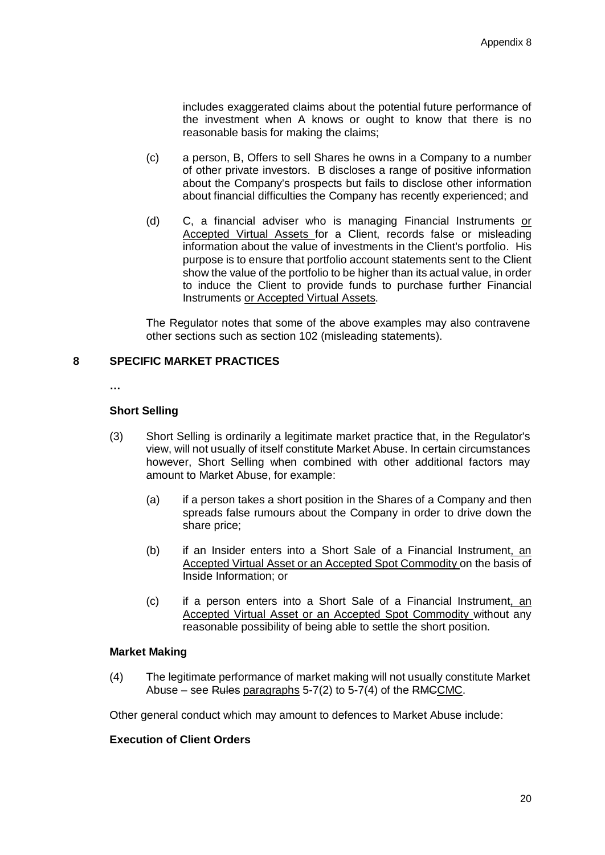includes exaggerated claims about the potential future performance of the investment when A knows or ought to know that there is no reasonable basis for making the claims;

- (c) a person, B, Offers to sell Shares he owns in a Company to a number of other private investors. B discloses a range of positive information about the Company's prospects but fails to disclose other information about financial difficulties the Company has recently experienced; and
- (d) C, a financial adviser who is managing Financial Instruments or Accepted Virtual Assets for a Client, records false or misleading information about the value of investments in the Client's portfolio. His purpose is to ensure that portfolio account statements sent to the Client show the value of the portfolio to be higher than its actual value, in order to induce the Client to provide funds to purchase further Financial Instruments or Accepted Virtual Assets.

The Regulator notes that some of the above examples may also contravene other sections such as section 102 (misleading statements).

# **8 SPECIFIC MARKET PRACTICES**

**…**

### **Short Selling**

- (3) Short Selling is ordinarily a legitimate market practice that, in the Regulator's view, will not usually of itself constitute Market Abuse. In certain circumstances however, Short Selling when combined with other additional factors may amount to Market Abuse, for example:
	- (a) if a person takes a short position in the Shares of a Company and then spreads false rumours about the Company in order to drive down the share price;
	- (b) if an Insider enters into a Short Sale of a Financial Instrument, an Accepted Virtual Asset or an Accepted Spot Commodity on the basis of Inside Information; or
	- (c) if a person enters into a Short Sale of a Financial Instrument, an Accepted Virtual Asset or an Accepted Spot Commodity without any reasonable possibility of being able to settle the short position.

### **Market Making**

(4) The legitimate performance of market making will not usually constitute Market Abuse – see Rules paragraphs  $5-7(2)$  to  $5-7(4)$  of the RMCCMC.

Other general conduct which may amount to defences to Market Abuse include:

# **Execution of Client Orders**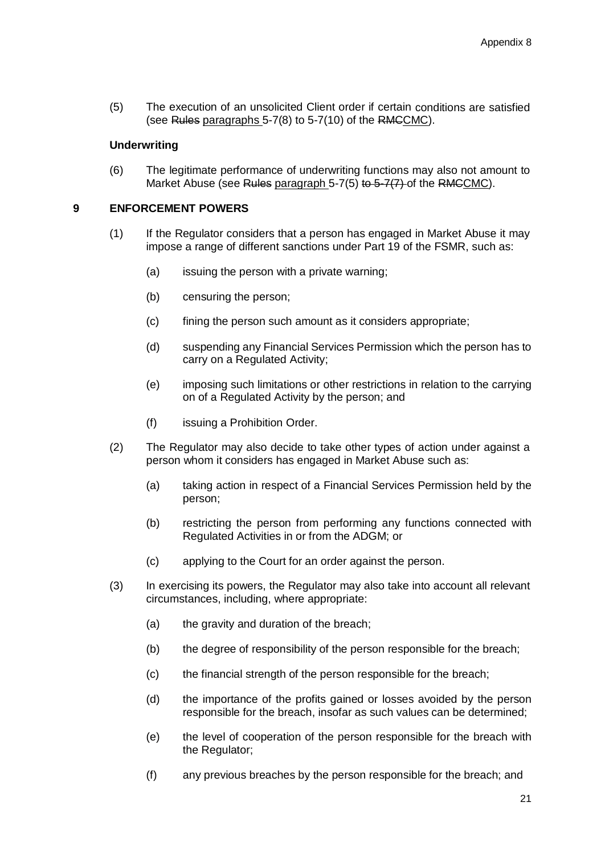(5) The execution of an unsolicited Client order if certain conditions are satisfied (see Rules paragraphs 5-7(8) to 5-7(10) of the RMCCMC).

### **Underwriting**

(6) The legitimate performance of underwriting functions may also not amount to Market Abuse (see Rules paragraph  $5-7(5)$  to  $5-7(7)$  of the RMCCMC).

# **9 ENFORCEMENT POWERS**

- (1) If the Regulator considers that a person has engaged in Market Abuse it may impose a range of different sanctions under Part 19 of the FSMR, such as:
	- (a) issuing the person with a private warning;
	- (b) censuring the person;
	- (c) fining the person such amount as it considers appropriate;
	- (d) suspending any Financial Services Permission which the person has to carry on a Regulated Activity;
	- (e) imposing such limitations or other restrictions in relation to the carrying on of a Regulated Activity by the person; and
	- (f) issuing a Prohibition Order.
- (2) The Regulator may also decide to take other types of action under against a person whom it considers has engaged in Market Abuse such as:
	- (a) taking action in respect of a Financial Services Permission held by the person;
	- (b) restricting the person from performing any functions connected with Regulated Activities in or from the ADGM; or
	- (c) applying to the Court for an order against the person.
- (3) In exercising its powers, the Regulator may also take into account all relevant circumstances, including, where appropriate:
	- (a) the gravity and duration of the breach;
	- (b) the degree of responsibility of the person responsible for the breach;
	- (c) the financial strength of the person responsible for the breach;
	- (d) the importance of the profits gained or losses avoided by the person responsible for the breach, insofar as such values can be determined;
	- (e) the level of cooperation of the person responsible for the breach with the Regulator;
	- (f) any previous breaches by the person responsible for the breach; and